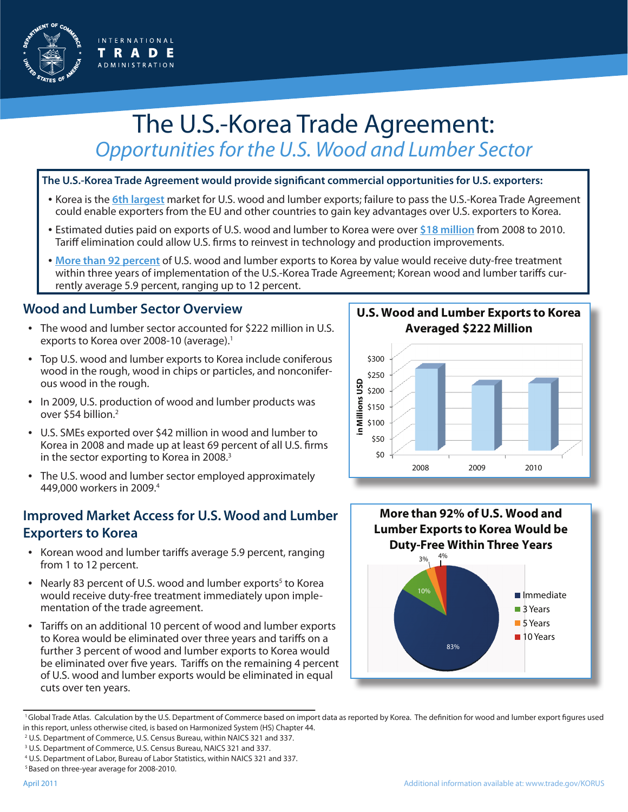

# The U.S.-Korea Trade Agreement: *Opportunities for the U.S. Wood and Lumber Sector*

#### **The U.S.-Korea Trade Agreement would provide significant commercial opportunities for U.S. exporters:**

- Korea is the **6th largest** market for U.S. wood and lumber exports; failure to pass the U.S.-Korea Trade Agreement could enable exporters from the EU and other countries to gain key advantages over U.S. exporters to Korea.
- Estimated duties paid on exports of U.S. wood and lumber to Korea were over **\$18 million** from 2008 to 2010. Tariff elimination could allow U.S. firms to reinvest in technology and production improvements.
- **More than 92 percent** of U.S. wood and lumber exports to Korea by value would receive duty-free treatment within three years of implementation of the U.S.-Korea Trade Agreement; Korean wood and lumber tariffs currently average 5.9 percent, ranging up to 12 percent.

## **Wood and Lumber Sector Overview**

- The wood and lumber sector accounted for \$222 million in U.S. exports to Korea over 2008-10 (average).<sup>1</sup>
- Top U.S. wood and lumber exports to Korea include coniferous wood in the rough, wood in chips or particles, and nonconiferous wood in the rough.
- In 2009, U.S. production of wood and lumber products was over \$54 billion.<sup>2</sup>
- U.S. SMEs exported over \$42 million in wood and lumber to Korea in 2008 and made up at least 69 percent of all U.S. firms in the sector exporting to Korea in 2008.<sup>3</sup>
- The U.S. wood and lumber sector employed approximately 449,000 workers in 2009.4

## **Improved Market Access for U.S. Wood and Lumber Exporters to Korea**

- Korean wood and lumber tariffs average 5.9 percent, ranging from 1 to 12 percent.
- Nearly 83 percent of U.S. wood and lumber exports<sup>5</sup> to Korea would receive duty-free treatment immediately upon implementation of the trade agreement.
- Tariffs on an additional 10 percent of wood and lumber exports to Korea would be eliminated over three years and tariffs on a further 3 percent of wood and lumber exports to Korea would be eliminated over five years. Tariffs on the remaining 4 percent of U.S. wood and lumber exports would be eliminated in equal cuts over ten years.

**U.S. Wood and Lumber Exports to Korea Averaged \$222 Million**





<sup>&</sup>lt;sup>1</sup>Global Trade Atlas. Calculation by the U.S. Department of Commerce based on import data as reported by Korea. The definition for wood and lumber export figures used in this report, unless otherwise cited, is based on Harmonized System (HS) Chapter 44.

<sup>&</sup>lt;sup>2</sup> U.S. Department of Commerce, U.S. Census Bureau, within NAICS 321 and 337.

<sup>&</sup>lt;sup>3</sup> U.S. Department of Commerce, U.S. Census Bureau, NAICS 321 and 337.

<sup>4</sup> U.S. Department of Labor, Bureau of Labor Statistics, within NAICS 321 and 337.

 <sup>5</sup> Based on three-year average for 2008-2010.